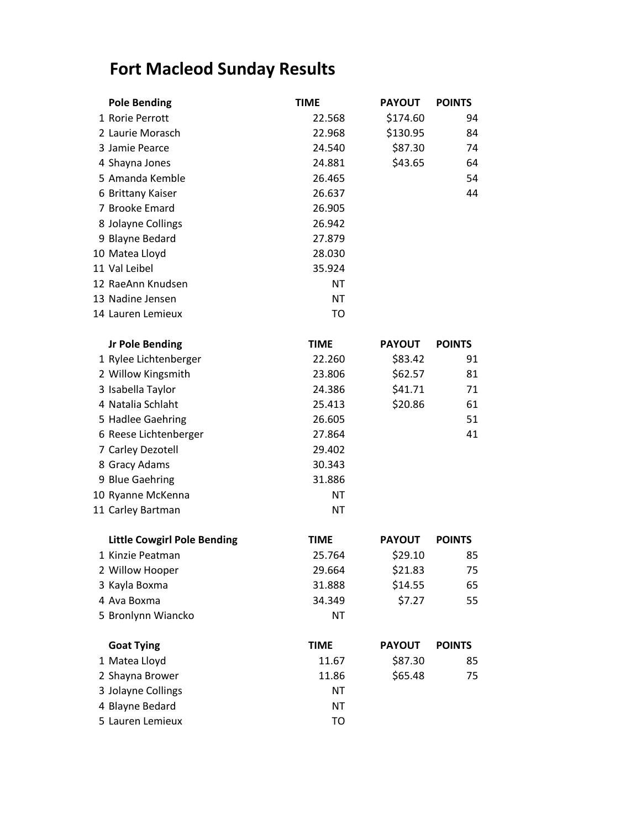## **Fort Macleod Sunday Results**

| <b>Pole Bending</b>                | <b>TIME</b> | <b>PAYOUT</b> | <b>POINTS</b> |
|------------------------------------|-------------|---------------|---------------|
| 1 Rorie Perrott                    | 22.568      | \$174.60      | 94            |
| 2 Laurie Morasch                   | 22.968      | \$130.95      | 84            |
| 3 Jamie Pearce                     | 24.540      | \$87.30       | 74            |
| 4 Shayna Jones                     | 24.881      | \$43.65       | 64            |
| 5 Amanda Kemble                    | 26.465      |               | 54            |
| 6 Brittany Kaiser                  | 26.637      |               | 44            |
| 7 Brooke Emard                     | 26.905      |               |               |
| 8 Jolayne Collings                 | 26.942      |               |               |
| 9 Blayne Bedard                    | 27.879      |               |               |
| 10 Matea Lloyd                     | 28.030      |               |               |
| 11 Val Leibel                      | 35.924      |               |               |
| 12 RaeAnn Knudsen                  | ΝT          |               |               |
| 13 Nadine Jensen                   | <b>NT</b>   |               |               |
| 14 Lauren Lemieux                  | TO          |               |               |
| <b>Jr Pole Bending</b>             | <b>TIME</b> | <b>PAYOUT</b> | <b>POINTS</b> |
| 1 Rylee Lichtenberger              | 22.260      | \$83.42       | 91            |
| 2 Willow Kingsmith                 | 23.806      | \$62.57       | 81            |
| 3 Isabella Taylor                  | 24.386      | \$41.71       | 71            |
| 4 Natalia Schlaht                  | 25.413      | \$20.86       | 61            |
| 5 Hadlee Gaehring                  | 26.605      |               | 51            |
| 6 Reese Lichtenberger              | 27.864      |               | 41            |
| 7 Carley Dezotell                  | 29.402      |               |               |
| 8 Gracy Adams                      | 30.343      |               |               |
| 9 Blue Gaehring                    | 31.886      |               |               |
| 10 Ryanne McKenna                  | ΝT          |               |               |
| 11 Carley Bartman                  | ΝT          |               |               |
| <b>Little Cowgirl Pole Bending</b> | <b>TIME</b> | <b>PAYOUT</b> | <b>POINTS</b> |
| 1 Kinzie Peatman                   | 25.764      | \$29.10       | 85            |
| 2 Willow Hooper                    | 29.664      | \$21.83       | 75            |
| 3 Kayla Boxma                      | 31.888      | \$14.55       | 65            |
| 4 Ava Boxma                        | 34.349      | \$7.27        | 55            |
| 5 Bronlynn Wiancko                 | ΝT          |               |               |
| <b>Goat Tying</b>                  | <b>TIME</b> | <b>PAYOUT</b> | <b>POINTS</b> |
| 1 Matea Lloyd                      | 11.67       | \$87.30       | 85            |
| 2 Shayna Brower                    | 11.86       | \$65.48       | 75            |
| 3 Jolayne Collings                 | ΝT          |               |               |
| 4 Blayne Bedard                    | <b>NT</b>   |               |               |
| 5 Lauren Lemieux                   | TO          |               |               |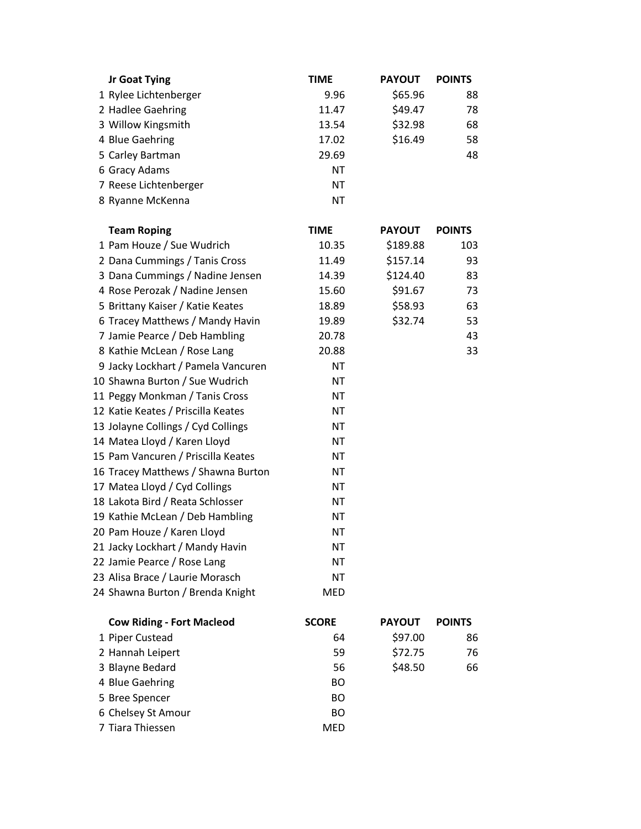| <b>Jr Goat Tying</b>               | <b>TIME</b>  | <b>PAYOUT</b> | <b>POINTS</b> |
|------------------------------------|--------------|---------------|---------------|
| 1 Rylee Lichtenberger              | 9.96         | \$65.96       | 88            |
| 2 Hadlee Gaehring                  | 11.47        | \$49.47       | 78            |
| 3 Willow Kingsmith                 | 13.54        | \$32.98       | 68            |
| 4 Blue Gaehring                    | 17.02        | \$16.49       | 58            |
| 5 Carley Bartman                   | 29.69        |               | 48            |
| 6 Gracy Adams                      | <b>NT</b>    |               |               |
| 7 Reese Lichtenberger              | <b>NT</b>    |               |               |
| 8 Ryanne McKenna                   | <b>NT</b>    |               |               |
| <b>Team Roping</b>                 | <b>TIME</b>  | <b>PAYOUT</b> | <b>POINTS</b> |
| 1 Pam Houze / Sue Wudrich          | 10.35        | \$189.88      | 103           |
| 2 Dana Cummings / Tanis Cross      | 11.49        | \$157.14      | 93            |
| 3 Dana Cummings / Nadine Jensen    | 14.39        | \$124.40      | 83            |
| 4 Rose Perozak / Nadine Jensen     | 15.60        | \$91.67       | 73            |
| 5 Brittany Kaiser / Katie Keates   | 18.89        | \$58.93       | 63            |
| 6 Tracey Matthews / Mandy Havin    | 19.89        | \$32.74       | 53            |
| 7 Jamie Pearce / Deb Hambling      | 20.78        |               | 43            |
| 8 Kathie McLean / Rose Lang        | 20.88        |               | 33            |
| 9 Jacky Lockhart / Pamela Vancuren | <b>NT</b>    |               |               |
| 10 Shawna Burton / Sue Wudrich     | <b>NT</b>    |               |               |
| 11 Peggy Monkman / Tanis Cross     | <b>NT</b>    |               |               |
| 12 Katie Keates / Priscilla Keates | <b>NT</b>    |               |               |
| 13 Jolayne Collings / Cyd Collings | <b>NT</b>    |               |               |
| 14 Matea Lloyd / Karen Lloyd       | ΝT           |               |               |
| 15 Pam Vancuren / Priscilla Keates | <b>NT</b>    |               |               |
| 16 Tracey Matthews / Shawna Burton | <b>NT</b>    |               |               |
| 17 Matea Lloyd / Cyd Collings      | <b>NT</b>    |               |               |
| 18 Lakota Bird / Reata Schlosser   | <b>NT</b>    |               |               |
| 19 Kathie McLean / Deb Hambling    | ΝT           |               |               |
| 20 Pam Houze / Karen Lloyd         | <b>NT</b>    |               |               |
| 21 Jacky Lockhart / Mandy Havin    | ΝT           |               |               |
| 22 Jamie Pearce / Rose Lang        | <b>NT</b>    |               |               |
| 23 Alisa Brace / Laurie Morasch    | <b>NT</b>    |               |               |
| 24 Shawna Burton / Brenda Knight   | <b>MED</b>   |               |               |
| <b>Cow Riding - Fort Macleod</b>   | <b>SCORE</b> | <b>PAYOUT</b> | <b>POINTS</b> |
| 1 Piper Custead                    | 64           | \$97.00       | 86            |
| 2 Hannah Leipert                   | 59           | \$72.75       | 76            |
| 3 Blayne Bedard                    | 56           | \$48.50       | 66            |
| 4 Blue Gaehring                    | <b>BO</b>    |               |               |
| 5 Bree Spencer                     | <b>BO</b>    |               |               |
| 6 Chelsey St Amour                 | <b>BO</b>    |               |               |
| 7 Tiara Thiessen                   | <b>MED</b>   |               |               |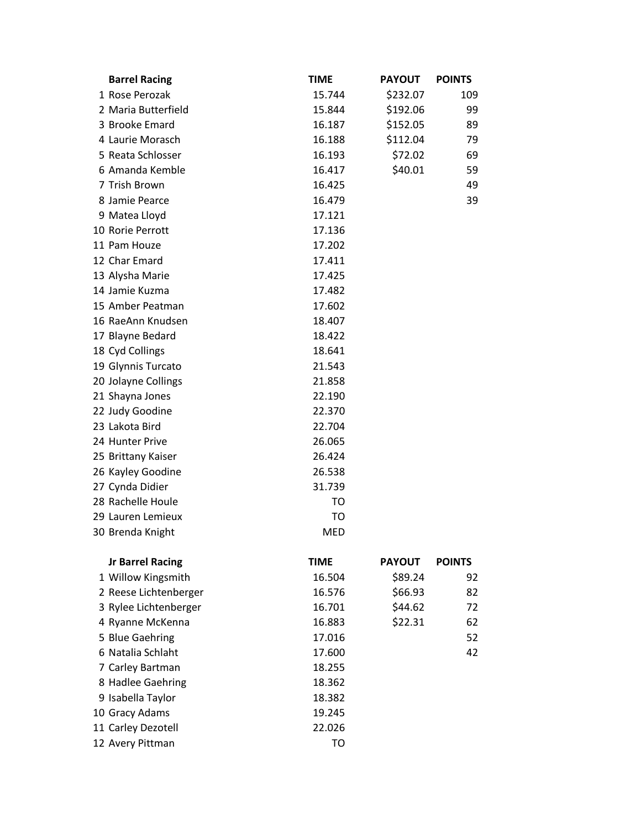| <b>Barrel Racing</b>    | TIME   | <b>PAYOUT</b> | <b>POINTS</b> |
|-------------------------|--------|---------------|---------------|
| 1 Rose Perozak          | 15.744 | \$232.07      | 109           |
| 2 Maria Butterfield     | 15.844 | \$192.06      | 99            |
| 3 Brooke Emard          | 16.187 | \$152.05      | 89            |
| 4 Laurie Morasch        | 16.188 | \$112.04      | 79            |
| 5 Reata Schlosser       | 16.193 | \$72.02       | 69            |
| 6 Amanda Kemble         | 16.417 | \$40.01       | 59            |
| 7 Trish Brown           | 16.425 |               | 49            |
| 8 Jamie Pearce          | 16.479 |               | 39            |
| 9 Matea Lloyd           | 17.121 |               |               |
| 10 Rorie Perrott        | 17.136 |               |               |
| 11 Pam Houze            | 17.202 |               |               |
| 12 Char Emard           | 17.411 |               |               |
| 13 Alysha Marie         | 17.425 |               |               |
| 14 Jamie Kuzma          | 17.482 |               |               |
| 15 Amber Peatman        | 17.602 |               |               |
| 16 RaeAnn Knudsen       | 18.407 |               |               |
| 17 Blayne Bedard        | 18.422 |               |               |
| 18 Cyd Collings         | 18.641 |               |               |
| 19 Glynnis Turcato      | 21.543 |               |               |
| 20 Jolayne Collings     | 21.858 |               |               |
| 21 Shayna Jones         | 22.190 |               |               |
| 22 Judy Goodine         | 22.370 |               |               |
| 23 Lakota Bird          | 22.704 |               |               |
| 24 Hunter Prive         | 26.065 |               |               |
| 25 Brittany Kaiser      | 26.424 |               |               |
| 26 Kayley Goodine       | 26.538 |               |               |
| 27 Cynda Didier         | 31.739 |               |               |
| 28 Rachelle Houle       | TO     |               |               |
| 29 Lauren Lemieux       | TO     |               |               |
| 30 Brenda Knight        | MED    |               |               |
| <b>Jr Barrel Racing</b> | TIME   | <b>PAYOUT</b> | <b>POINTS</b> |
| 1 Willow Kingsmith      | 16.504 | \$89.24       | 92            |
| 2 Reese Lichtenberger   | 16.576 | \$66.93       | 82            |
| 3 Rylee Lichtenberger   | 16.701 | \$44.62       | 72            |
| 4 Ryanne McKenna        | 16.883 | \$22.31       | 62            |
| 5 Blue Gaehring         | 17.016 |               | 52            |
| 6 Natalia Schlaht       | 17.600 |               | 42            |
| 7 Carley Bartman        | 18.255 |               |               |
| 8 Hadlee Gaehring       | 18.362 |               |               |
| 9 Isabella Taylor       | 18.382 |               |               |
| 10 Gracy Adams          | 19.245 |               |               |
| 11 Carley Dezotell      | 22.026 |               |               |
| 12 Avery Pittman        | TO     |               |               |